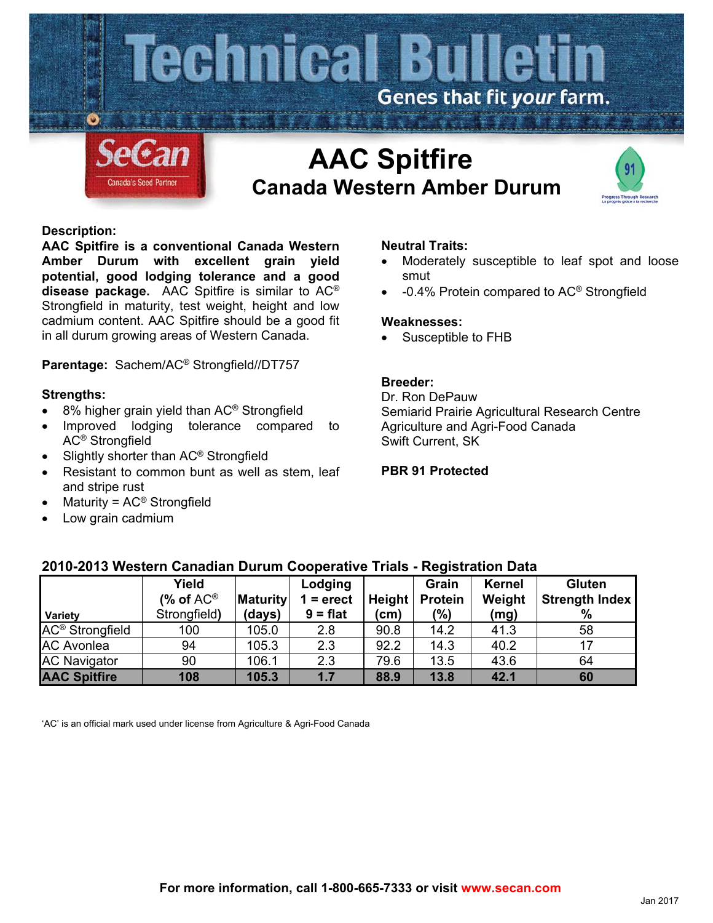

# **Canada Western Amber Durum**



## **Description:**

**AAC Spitfire is a conventional Canada Western Amber Durum with excellent grain yield potential, good lodging tolerance and a good disease package.** AAC Spitfire is similar to AC® Strongfield in maturity, test weight, height and low cadmium content. AAC Spitfire should be a good fit in all durum growing areas of Western Canada.

**Parentage:** Sachem/AC® Strongfield//DT757

## **Strengths:**

- 8% higher grain yield than AC<sup>®</sup> Strongfield
- Improved lodging tolerance compared to AC® Strongfield
- Slightly shorter than AC® Strongfield
- Resistant to common bunt as well as stem, leaf and stripe rust
- Maturity = AC® Strongfield
- Low grain cadmium

## **Neutral Traits:**

- Moderately susceptible to leaf spot and loose smut
- -0.4% Protein compared to AC® Strongfield

#### **Weaknesses:**

Susceptible to FHB

## **Breeder:**

Dr. Ron DePauw Semiarid Prairie Agricultural Research Centre Agriculture and Agri-Food Canada Swift Current, SK

#### **PBR 91 Protected**

| Variety                     | Yield<br>(% of $AC^{\circledR}$<br>Strongfield) | <b>Maturity</b><br>(days) | Lodging<br>$=$ erect<br>$9 = flat$ | Height<br>(cm) | Grain<br><b>Protein</b><br>(%) | <b>Kernel</b><br>Weight<br>(mg) | <b>Gluten</b><br><b>Strength Index</b><br>$\%$ |
|-----------------------------|-------------------------------------------------|---------------------------|------------------------------------|----------------|--------------------------------|---------------------------------|------------------------------------------------|
| AC <sup>®</sup> Strongfield | 100                                             | 105.0                     | 2.8                                | 90.8           | 14.2                           | 41.3                            | 58                                             |
| <b>AC Avonlea</b>           | 94                                              | 105.3                     | 2.3                                | 92.2           | 14.3                           | 40.2                            | 17                                             |
| <b>AC Navigator</b>         | 90                                              | 106.1                     | 2.3                                | 79.6           | 13.5                           | 43.6                            | 64                                             |
| <b>AAC Spitfire</b>         | 108                                             | 105.3                     | 1.7                                | 88.9           | 13.8                           | 42.1                            | 60                                             |

## **2010-2013 Western Canadian Durum Cooperative Trials - Registration Data**

'AC' is an official mark used under license from Agriculture & Agri-Food Canada